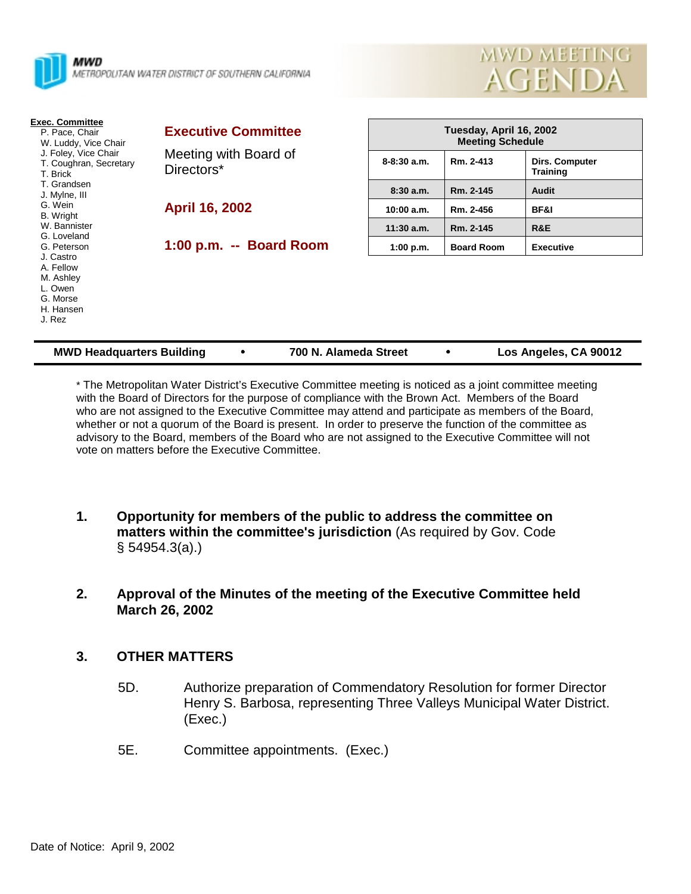



| <b>Exec. Committee</b><br>P. Pace, Chair<br>W. Luddy, Vice Chair<br>J. Foley, Vice Chair<br>T. Coughran, Secretary<br>T. Brick | <b>Executive Committee</b><br>Meeting with Board of<br>Directors* | Tuesday, April 16, 2002<br><b>Meeting Schedule</b> |                   |                                   |
|--------------------------------------------------------------------------------------------------------------------------------|-------------------------------------------------------------------|----------------------------------------------------|-------------------|-----------------------------------|
|                                                                                                                                |                                                                   | $8 - 8:30$ a.m.                                    | Rm. 2-413         | Dirs. Computer<br><b>Training</b> |
| T. Grandsen<br>J. Mylne, III                                                                                                   |                                                                   | 8:30a.m.                                           | Rm. 2-145         | Audit                             |
| G. Wein<br><b>B.</b> Wright                                                                                                    | <b>April 16, 2002</b>                                             | 10:00 a.m.                                         | Rm. 2-456         | BF&I                              |
| W. Bannister<br>G. Loveland                                                                                                    |                                                                   | $11:30$ a.m.                                       | Rm. 2-145         | R&E                               |
| G. Peterson<br>J. Castro<br>A. Fellow<br>M. Ashley<br>L. Owen<br>G. Morse<br>H. Hansen<br>J. Rez                               | 1:00 p.m. -- Board Room                                           | 1:00 p.m.                                          | <b>Board Room</b> | <b>Executive</b>                  |

| <b>MWD Headquarters Building</b> |  | 700 N. Alameda Street |  | Los Angeles, CA 90012 |
|----------------------------------|--|-----------------------|--|-----------------------|
|----------------------------------|--|-----------------------|--|-----------------------|

\* The Metropolitan Water District's Executive Committee meeting is noticed as a joint committee meeting with the Board of Directors for the purpose of compliance with the Brown Act. Members of the Board who are not assigned to the Executive Committee may attend and participate as members of the Board, whether or not a quorum of the Board is present. In order to preserve the function of the committee as advisory to the Board, members of the Board who are not assigned to the Executive Committee will not vote on matters before the Executive Committee.

- **1. Opportunity for members of the public to address the committee on matters within the committee's jurisdiction** (As required by Gov. Code § 54954.3(a).)
- **2. Approval of the Minutes of the meeting of the Executive Committee held March 26, 2002**

# **3. OTHER MATTERS**

- 5D. Authorize preparation of Commendatory Resolution for former Director Henry S. Barbosa, representing Three Valleys Municipal Water District. (Exec.)
- 5E. Committee appointments. (Exec.)